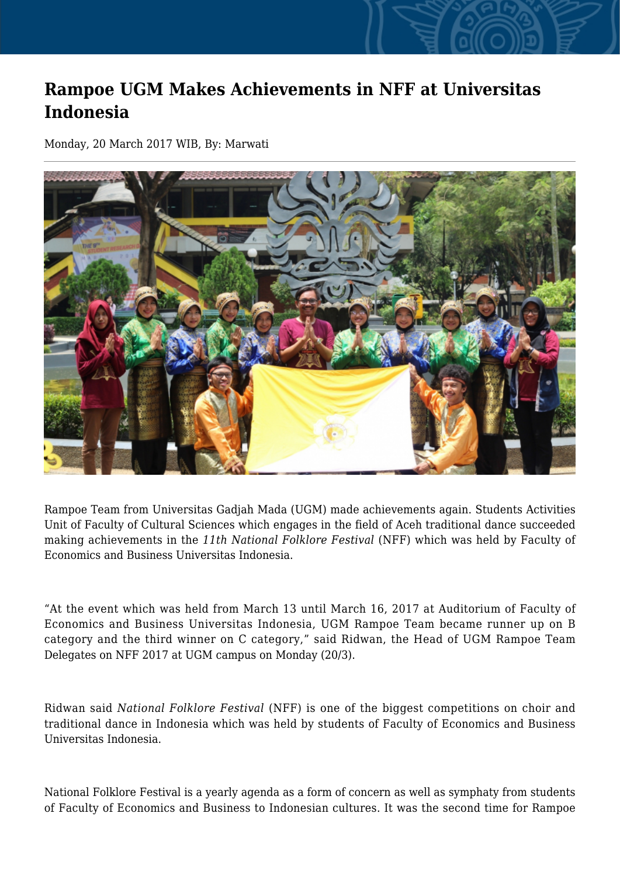## **Rampoe UGM Makes Achievements in NFF at Universitas Indonesia**

Monday, 20 March 2017 WIB, By: Marwati



Rampoe Team from Universitas Gadjah Mada (UGM) made achievements again. Students Activities Unit of Faculty of Cultural Sciences which engages in the field of Aceh traditional dance succeeded making achievements in the *11th National Folklore Festival* (NFF) which was held by Faculty of Economics and Business Universitas Indonesia.

"At the event which was held from March 13 until March 16, 2017 at Auditorium of Faculty of Economics and Business Universitas Indonesia, UGM Rampoe Team became runner up on B category and the third winner on C category," said Ridwan, the Head of UGM Rampoe Team Delegates on NFF 2017 at UGM campus on Monday (20/3).

Ridwan said *National Folklore Festival* (NFF) is one of the biggest competitions on choir and traditional dance in Indonesia which was held by students of Faculty of Economics and Business Universitas Indonesia.

National Folklore Festival is a yearly agenda as a form of concern as well as symphaty from students of Faculty of Economics and Business to Indonesian cultures. It was the second time for Rampoe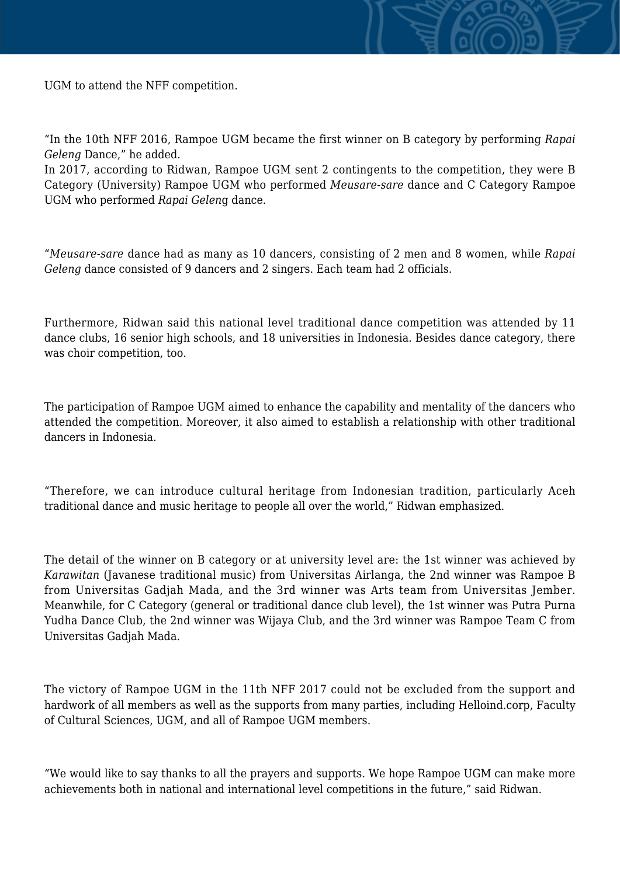UGM to attend the NFF competition.

"In the 10th NFF 2016, Rampoe UGM became the first winner on B category by performing *Rapai Geleng* Dance," he added.

In 2017, according to Ridwan, Rampoe UGM sent 2 contingents to the competition, they were B Category (University) Rampoe UGM who performed *Meusare-sare* dance and C Category Rampoe UGM who performed *Rapai Gelen*g dance.

"*Meusare-sare* dance had as many as 10 dancers, consisting of 2 men and 8 women, while *Rapai Geleng* dance consisted of 9 dancers and 2 singers. Each team had 2 officials.

Furthermore, Ridwan said this national level traditional dance competition was attended by 11 dance clubs, 16 senior high schools, and 18 universities in Indonesia. Besides dance category, there was choir competition, too.

The participation of Rampoe UGM aimed to enhance the capability and mentality of the dancers who attended the competition. Moreover, it also aimed to establish a relationship with other traditional dancers in Indonesia.

"Therefore, we can introduce cultural heritage from Indonesian tradition, particularly Aceh traditional dance and music heritage to people all over the world," Ridwan emphasized.

The detail of the winner on B category or at university level are: the 1st winner was achieved by *Karawitan* (Javanese traditional music) from Universitas Airlanga, the 2nd winner was Rampoe B from Universitas Gadjah Mada, and the 3rd winner was Arts team from Universitas Jember. Meanwhile, for C Category (general or traditional dance club level), the 1st winner was Putra Purna Yudha Dance Club, the 2nd winner was Wijaya Club, and the 3rd winner was Rampoe Team C from Universitas Gadjah Mada.

The victory of Rampoe UGM in the 11th NFF 2017 could not be excluded from the support and hardwork of all members as well as the supports from many parties, including Helloind.corp, Faculty of Cultural Sciences, UGM, and all of Rampoe UGM members.

"We would like to say thanks to all the prayers and supports. We hope Rampoe UGM can make more achievements both in national and international level competitions in the future," said Ridwan.